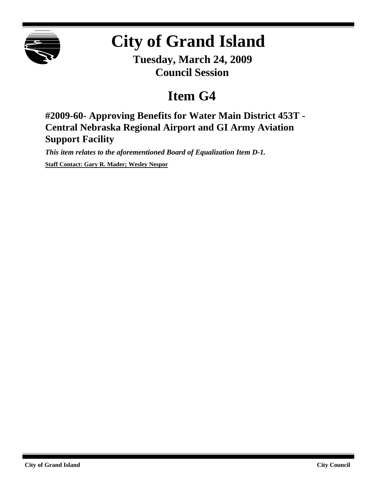

## **City of Grand Island**

**Tuesday, March 24, 2009 Council Session**

## **Item G4**

**#2009-60- Approving Benefits for Water Main District 453T - Central Nebraska Regional Airport and GI Army Aviation Support Facility**

*This item relates to the aforementioned Board of Equalization Item D-1.*

**Staff Contact: Gary R. Mader; Wesley Nespor**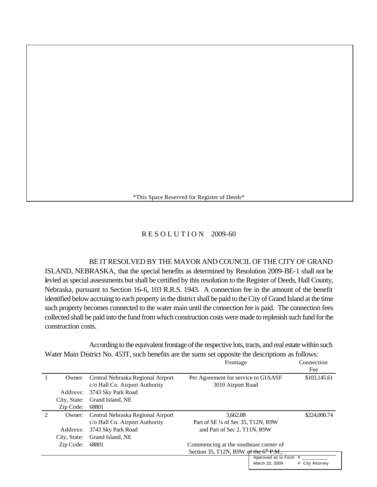\*This Space Reserved for Register of Deeds\*

## R E S O L U T I O N 2009-60

BE IT RESOLVED BY THE MAYOR AND COUNCIL OF THE CITY OF GRAND ISLAND, NEBRASKA, that the special benefits as determined by Resolution 2009-BE-1 shall not be levied as special assessments but shall be certified by this resolution to the Register of Deeds, Hall County, Nebraska, pursuant to Section 16-6, 103 R.R.S. 1943. A connection fee in the amount of the benefit identified below accruing to each property in the district shall be paid to the City of Grand Island at the time such property becomes connected to the water main until the connection fee is paid. The connection fees collected shall be paid into the fund from which construction costs were made to replenish such fund for the construction costs.

According to the equivalent frontage of the respective lots, tracts, and real estate within such Water Main District No. 453T, such benefits are the sums set opposite the descriptions as follows:

|                             |              |                                   | Frontage                            |                                                                                             | Connection<br>Fee |
|-----------------------------|--------------|-----------------------------------|-------------------------------------|---------------------------------------------------------------------------------------------|-------------------|
|                             | Owner:       | Central Nebraska Regional Airport | Per Agreement for service to GIAASF |                                                                                             | \$103,145.61      |
|                             |              | c/o Hall Co. Airport Authority    | 3010 Airport Road                   |                                                                                             |                   |
|                             | Address:     | 3743 Sky Park Road                |                                     |                                                                                             |                   |
|                             | City, State: | Grand Island, NE                  |                                     |                                                                                             |                   |
|                             | Zip Code:    | 68801                             |                                     |                                                                                             |                   |
| $\mathcal{D}_{\mathcal{L}}$ | Owner:       | Central Nebraska Regional Airport | 3,662.88                            |                                                                                             | \$224,000.74      |
|                             |              | c/o Hall Co. Airport Authority    | Part of SE 1/4 of Sec 35, T12N, R9W |                                                                                             |                   |
|                             | Address:     | 3743 Sky Park Road                | and Part of Sec 2, T11N, R9W        |                                                                                             |                   |
|                             | City, State: | Grand Island, NE                  |                                     |                                                                                             |                   |
|                             | Zip Code:    | 68801                             |                                     | Commencing at the southeast corner of<br>Section 35, T12N, R9W of the $6^{\text{th}}$ P.M., |                   |
|                             |              |                                   |                                     |                                                                                             |                   |
|                             |              |                                   |                                     | Approved as to Form                                                                         | ¤                 |
|                             |              |                                   |                                     | March 20, 2009                                                                              | ¤ City Attorney   |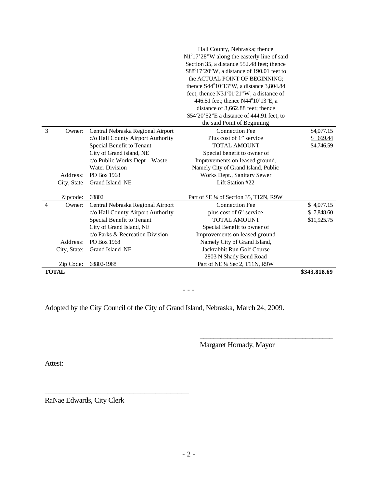|   | <b>TOTAL</b>                    |                                                  |                                           | \$343,818.69 |
|---|---------------------------------|--------------------------------------------------|-------------------------------------------|--------------|
|   | Zip Code:                       | 68802-1968                                       | Part of NE 1/4 Sec 2, T11N, R9W           |              |
|   |                                 |                                                  | 2803 N Shady Bend Road                    |              |
|   | City, State:<br>Grand Island NE |                                                  | Jackrabbit Run Golf Course                |              |
|   | PO Box 1968<br>Address:         |                                                  | Namely City of Grand Island,              |              |
|   |                                 | c/o Parks & Recreation Division                  | Improvements on leased ground             |              |
|   |                                 | City of Grand Island, NE                         | Special Benefit to owner of               |              |
|   |                                 | Special Benefit to Tenant<br><b>TOTAL AMOUNT</b> |                                           | \$11,925.75  |
|   |                                 | c/o Hall County Airport Authority                | plus cost of 6" service                   | \$7,848.60   |
| 4 | Owner:                          | Central Nebraska Regional Airport                | <b>Connection Fee</b>                     | \$4,077.15   |
|   | Zipcode:                        | 68802                                            | Part of SE 1/4 of Section 35, T12N, R9W   |              |
|   | City, State                     | Grand Island NE                                  | Lift Station #22                          |              |
|   | Address:                        | PO Box 1968                                      | Works Dept., Sanitary Sewer               |              |
|   |                                 | <b>Water Division</b>                            | Namely City of Grand Island, Public       |              |
|   |                                 | c/o Public Works Dept - Waste                    | Improvements on leased ground,            |              |
|   |                                 | City of Grand island, NE                         | Special benefit to owner of               |              |
|   |                                 | Special Benefit to Tenant                        | <b>TOTAL AMOUNT</b>                       | \$4,746.59   |
|   |                                 | c/o Hall County Airport Authority                | Plus cost of 1" service                   | \$669.44     |
| 3 | Owner:                          | Central Nebraska Regional Airport                | <b>Connection Fee</b>                     | \$4,077.15   |
|   |                                 |                                                  | the said Point of Beginning               |              |
|   |                                 |                                                  | S54°20'52"E a distance of 444.91 feet, to |              |
|   |                                 |                                                  |                                           |              |
|   |                                 |                                                  |                                           |              |
|   |                                 |                                                  |                                           |              |
|   |                                 |                                                  |                                           |              |
|   |                                 |                                                  |                                           |              |
|   |                                 |                                                  |                                           |              |
|   |                                 |                                                  |                                           |              |
|   |                                 |                                                  |                                           |              |
|   |                                 | Hall County, Nebraska; thence                    |                                           |              |

 $- - -$ 

Adopted by the City Council of the City of Grand Island, Nebraska, March 24, 2009.

Margaret Hornady, Mayor

\_\_\_\_\_\_\_\_\_\_\_\_\_\_\_\_\_\_\_\_\_\_\_\_\_\_\_\_\_\_\_\_\_\_\_\_\_\_\_

Attest:

RaNae Edwards, City Clerk

\_\_\_\_\_\_\_\_\_\_\_\_\_\_\_\_\_\_\_\_\_\_\_\_\_\_\_\_\_\_\_\_\_\_\_\_\_\_\_